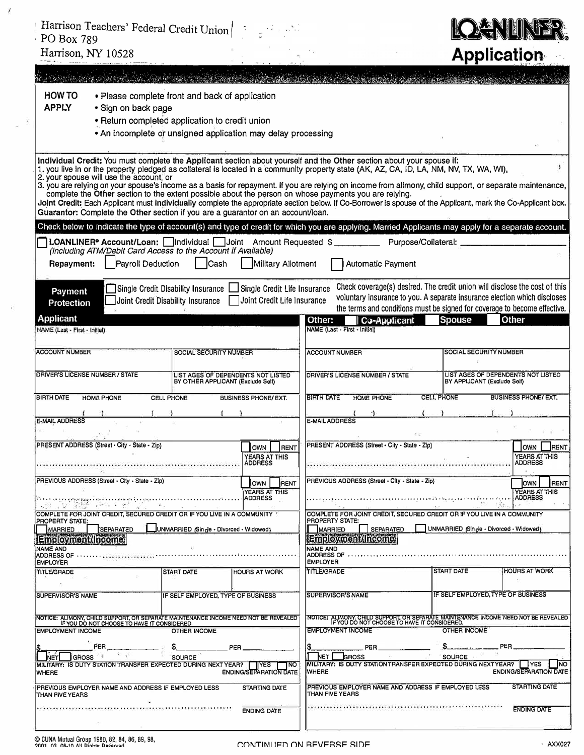| Harrison Teachers' Federal Credit Union<br>$PO$ Box 789                                                                                                                                                                                                                                                                                                                                                                                                                                                                                                                                                                                                                                                                                                                                                                                                                                                                                                                                   |                                                                                                                                                                   |                                                                                                                                                                    | <u>IQIA NIJING</u>                                                                                                                                                                                                                                             |  |  |
|-------------------------------------------------------------------------------------------------------------------------------------------------------------------------------------------------------------------------------------------------------------------------------------------------------------------------------------------------------------------------------------------------------------------------------------------------------------------------------------------------------------------------------------------------------------------------------------------------------------------------------------------------------------------------------------------------------------------------------------------------------------------------------------------------------------------------------------------------------------------------------------------------------------------------------------------------------------------------------------------|-------------------------------------------------------------------------------------------------------------------------------------------------------------------|--------------------------------------------------------------------------------------------------------------------------------------------------------------------|----------------------------------------------------------------------------------------------------------------------------------------------------------------------------------------------------------------------------------------------------------------|--|--|
| Harrison, NY 10528                                                                                                                                                                                                                                                                                                                                                                                                                                                                                                                                                                                                                                                                                                                                                                                                                                                                                                                                                                        |                                                                                                                                                                   |                                                                                                                                                                    | <b>Application</b>                                                                                                                                                                                                                                             |  |  |
|                                                                                                                                                                                                                                                                                                                                                                                                                                                                                                                                                                                                                                                                                                                                                                                                                                                                                                                                                                                           |                                                                                                                                                                   |                                                                                                                                                                    |                                                                                                                                                                                                                                                                |  |  |
| HOW TO<br><b>APPLY</b><br>• Sign on back page                                                                                                                                                                                                                                                                                                                                                                                                                                                                                                                                                                                                                                                                                                                                                                                                                                                                                                                                             | • Please complete front and back of application<br>• Return completed application to credit union<br>• An incomplete or unsigned application may delay processing |                                                                                                                                                                    |                                                                                                                                                                                                                                                                |  |  |
| Individual Credit: You must complete the Applicant section about yourself and the Other section about your spouse if:<br>1, you live in or the property pledged as collateral is located in a community property state (AK, AZ, CA, ID, LA, NM, NV, TX, WA, WI),<br>2. your spouse will use the account, or<br>3. you are relying on your spouse's income as a basis for repayment. If you are relying on income from alimony, child support, or separate maintenance,<br>complete the Other section to the extent possible about the person on whose payments you are relying.<br>Joint Credit: Each Applicant must Individually complete the appropriate section below. If Co-Borrower is spouse of the Applicant, mark the Co-Applicant box.<br>Guarantor: Complete the Other section if you are a quarantor on an account/loan.<br>Check below to indicate the type of account(s) and type of credit for which you are applying. Married Applicants may apply for a separate account. |                                                                                                                                                                   |                                                                                                                                                                    |                                                                                                                                                                                                                                                                |  |  |
|                                                                                                                                                                                                                                                                                                                                                                                                                                                                                                                                                                                                                                                                                                                                                                                                                                                                                                                                                                                           | <b>LOANLINER<sup>®</sup> Account/Loan:</b> Individual Joint Amount Requested \$ __________<br>(including ATM/Debit Card Access to the Account if Available)       | Purpose/Collateral:                                                                                                                                                |                                                                                                                                                                                                                                                                |  |  |
| Payroll Deduction<br>Repayment:                                                                                                                                                                                                                                                                                                                                                                                                                                                                                                                                                                                                                                                                                                                                                                                                                                                                                                                                                           | Military Allotment<br><b>Cash</b>                                                                                                                                 | <b>Automatic Payment</b>                                                                                                                                           |                                                                                                                                                                                                                                                                |  |  |
| Single Credit Disability Insurance<br>Payment<br>Joint Credit Disability Insurance<br><b>Protection</b><br><b>Applicant</b><br>NAME (Last - First - Initial)                                                                                                                                                                                                                                                                                                                                                                                                                                                                                                                                                                                                                                                                                                                                                                                                                              | Single Credit Life Insurance<br>Joint Credit Life Insurance                                                                                                       | Other:<br><b>Co-Applicant</b><br>NAME (Last - First - Initial)                                                                                                     | Check coverage(s) desired. The credit union will disclose the cost of this<br>voluntary insurance to you. A separate insurance election which discloses<br>the terms and conditions must be signed for coverage to become effective.<br>Other<br><b>Spouse</b> |  |  |
| <b>ACCOUNT NUMBER</b>                                                                                                                                                                                                                                                                                                                                                                                                                                                                                                                                                                                                                                                                                                                                                                                                                                                                                                                                                                     | SOCIAL SECURITY NUMBER                                                                                                                                            | <b>ACCOUNT NUMBER</b>                                                                                                                                              | SOCIAL SECURITY NUMBER                                                                                                                                                                                                                                         |  |  |
| <b>DRIVER'S LICENSE NUMBER / STATE</b>                                                                                                                                                                                                                                                                                                                                                                                                                                                                                                                                                                                                                                                                                                                                                                                                                                                                                                                                                    | LIST AGES OF DEPENDENTS NOT LISTED<br>BY OTHER APPLICANT (Exclude Self)                                                                                           | DRIVER'S LICENSE NUMBER / STATE                                                                                                                                    | LIST AGES OF DEPENDENTS NOT LISTED<br>BY APPLICANT (Exclude Self)                                                                                                                                                                                              |  |  |
| <b>BIRTH DATE</b><br><b>HOME PHONE</b><br><b>CELL PHONE</b>                                                                                                                                                                                                                                                                                                                                                                                                                                                                                                                                                                                                                                                                                                                                                                                                                                                                                                                               | <b>BUSINESS PHONE/ EXT.</b>                                                                                                                                       | <b>BIRTH DATE</b><br><b>HOME PHONE</b>                                                                                                                             | <b>CELL PHONE</b><br><b>BUSINESS PHONE/ EXT.</b>                                                                                                                                                                                                               |  |  |
| <b>E-MAIL ADDRESS</b>                                                                                                                                                                                                                                                                                                                                                                                                                                                                                                                                                                                                                                                                                                                                                                                                                                                                                                                                                                     |                                                                                                                                                                   | <b>E-MAIL ADDRESS</b>                                                                                                                                              |                                                                                                                                                                                                                                                                |  |  |
| PRESENT ADDRESS (Street - City - State - Zip)<br>PREVIOUS ADDRESS (Street - City - State - Zip)                                                                                                                                                                                                                                                                                                                                                                                                                                                                                                                                                                                                                                                                                                                                                                                                                                                                                           | OWN<br>RENT<br>YEARS AT THIS<br><b>ADDRESS</b><br>OWN<br>RENT                                                                                                     | PRESENT ADDRESS (Street - City - State - Zip)<br>PREVIOUS ADDRESS (Street - City - State - Zip)                                                                    | OWN<br>RENT<br>YEARS AT THIS<br><b>ADDRESS</b><br>OWN<br><b>RENT</b><br><b>YEARS AT THIS</b>                                                                                                                                                                   |  |  |
| in na gayayan in mashayan y                                                                                                                                                                                                                                                                                                                                                                                                                                                                                                                                                                                                                                                                                                                                                                                                                                                                                                                                                               | YEARS AT THIS<br><b>ADDRESS</b>                                                                                                                                   |                                                                                                                                                                    | <b>ADDRESS</b><br>$-34.$                                                                                                                                                                                                                                       |  |  |
| COMPLETE FOR JOINT CREDIT, SECURED CREDIT OR IF YOU LIVE IN A COMMUNITY<br><b>PROPERTY STATE:</b><br>MARRIED<br><b>SEPARATED</b><br>Employment/Income<br>NAME AND<br>ADDRESS OF                                                                                                                                                                                                                                                                                                                                                                                                                                                                                                                                                                                                                                                                                                                                                                                                           | UNMARRIED (Single - Divorced - Widowed)                                                                                                                           | COMPLETE FOR JOINT CREDIT, SECURED CREDIT OR IF YOU LIVE IN A COMMUNITY<br>PROPERTY STATE:<br>MARRIED<br>Employment/Income<br><b>NAME AND</b><br><b>ADDRESS OF</b> | SEPARATED UNMARRIED (Single - Divorced - Widowed)                                                                                                                                                                                                              |  |  |
| <b>EMPLOYER</b><br><b>TITLE/GRADE</b>                                                                                                                                                                                                                                                                                                                                                                                                                                                                                                                                                                                                                                                                                                                                                                                                                                                                                                                                                     | <b>HOURS AT WORK</b><br>START DATE                                                                                                                                | <b>EMPLOYER</b><br><b>TITLE/GRADE</b>                                                                                                                              | START DATE<br><b>HOURS AT WORK</b>                                                                                                                                                                                                                             |  |  |
| <b>SUPERVISOR'S NAME</b>                                                                                                                                                                                                                                                                                                                                                                                                                                                                                                                                                                                                                                                                                                                                                                                                                                                                                                                                                                  | IF SELF EMPLOYED, TYPE OF BUSINESS                                                                                                                                | <b>SUPERVISOR'S NAME</b>                                                                                                                                           | IF SELF EMPLOYED, TYPE OF BUSINESS                                                                                                                                                                                                                             |  |  |
| NOTICE: ALIMONY, CHILD SUPPORT, OR SEPARATE MAINTENANCE INCOME NEED NOT BE REVEALED<br><b>EMPLOYMENT INCOME</b>                                                                                                                                                                                                                                                                                                                                                                                                                                                                                                                                                                                                                                                                                                                                                                                                                                                                           | <b>OTHER INCOME</b>                                                                                                                                               | <b>EMPLOYMENT INCOME</b>                                                                                                                                           | NOTICE: ALIMONY, CHILD SUPPORT, OR SEPARATE MAINTENANCE INCOME NEED NOT BE REVEALED<br>OTHER INCOME                                                                                                                                                            |  |  |
| PER<br>-54.<br><b>GROSS</b><br><b>NET</b><br>MILITARY: IS DUTY STATION TRANSFER EXPECTED DURING NEXT YEAR?<br><b>WHERE</b>                                                                                                                                                                                                                                                                                                                                                                                                                                                                                                                                                                                                                                                                                                                                                                                                                                                                | PER<br><b>SOURCE</b><br>∥YES<br>⊣NO<br><b>ENDING/SEPARATION DATE</b>                                                                                              | PER.<br>NET GROSS<br>MILITARY: IS DUTY STATION TRANSFER EXPECTED DURING NEXTYEAR?<br>WHERE                                                                         | PER<br>SOURCE.<br>YES<br><b>NO</b><br><b>ENDING/SEPARATION DATE</b>                                                                                                                                                                                            |  |  |
| PREVIOUS EMPLOYER NAME AND ADDRESS IF EMPLOYED LESS<br>THAN FIVE YEARS                                                                                                                                                                                                                                                                                                                                                                                                                                                                                                                                                                                                                                                                                                                                                                                                                                                                                                                    | STARTING DATE<br>ENDING DATE                                                                                                                                      | PREVIOUS EMPLOYER NAME AND ADDRESS IF EMPLOYED LESS<br>THAN FIVE YEARS                                                                                             | STARTING DATE<br><b>ENDING DATE</b>                                                                                                                                                                                                                            |  |  |

 $\ell$ 

X  $\bar{\alpha}$ 

 $\mathcal{C}$